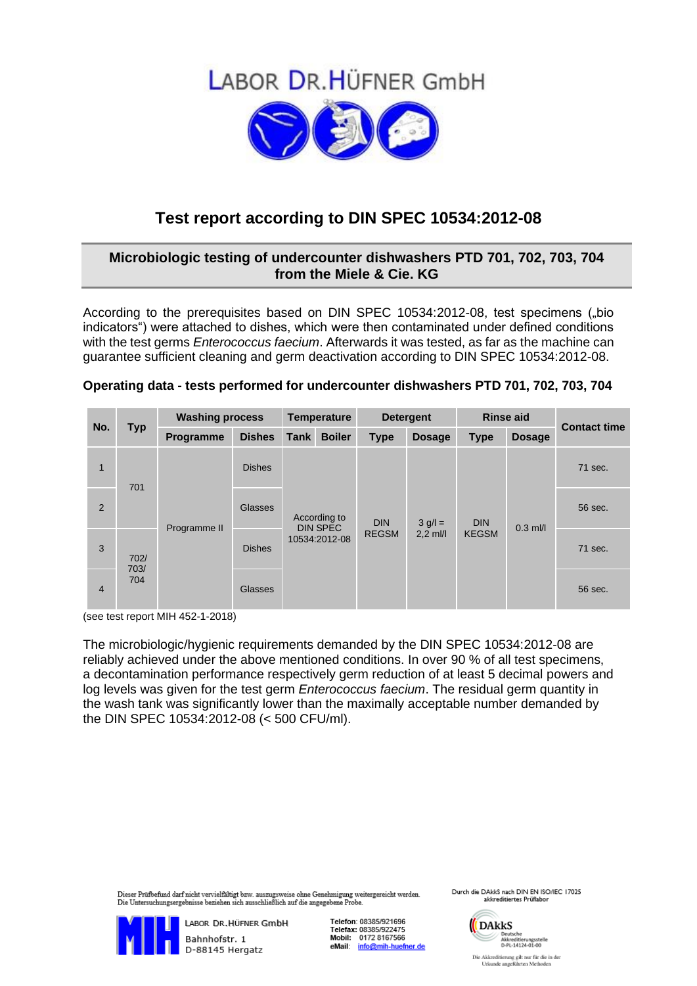



## **Test report according to DIN SPEC 10534:2012-08**

## **Microbiologic testing of undercounter dishwashers PTD 701, 702, 703, 704 from the Miele & Cie. KG**

According to the prerequisites based on DIN SPEC 10534:2012-08, test specimens ("bio indicators") were attached to dishes, which were then contaminated under defined conditions with the test germs *Enterococcus faecium*. Afterwards it was tested, as far as the machine can guarantee sufficient cleaning and germ deactivation according to DIN SPEC 10534:2012-08.

|  |  | Operating data - tests performed for undercounter dishwashers PTD 701, 702, 703, 704 |  |  |  |
|--|--|--------------------------------------------------------------------------------------|--|--|--|
|--|--|--------------------------------------------------------------------------------------|--|--|--|

| No.            | <b>Typ</b>                 | <b>Washing process</b> |               | <b>Temperature</b>                               |                            | <b>Detergent</b>                       |                            | <b>Rinse aid</b> |               | <b>Contact time</b> |
|----------------|----------------------------|------------------------|---------------|--------------------------------------------------|----------------------------|----------------------------------------|----------------------------|------------------|---------------|---------------------|
|                |                            | Programme              | <b>Dishes</b> | <b>Tank</b>                                      | <b>Boiler</b>              | <b>Type</b>                            | <b>Dosage</b>              | <b>Type</b>      | <b>Dosage</b> |                     |
| $\mathbf{1}$   | 701<br>702/<br>703/<br>704 |                        | <b>Dishes</b> | According to<br><b>DIN SPEC</b><br>10534:2012-08 | <b>DIN</b><br><b>REGSM</b> | $3 \text{ g}/\text{l} =$<br>$2,2$ ml/l | <b>DIN</b><br><b>KEGSM</b> | $0.3$ ml/l       | 71 sec.       |                     |
| 2              |                            |                        | Glasses       |                                                  |                            |                                        |                            |                  | 56 sec.       |                     |
| 3              |                            | Programme II           | <b>Dishes</b> |                                                  |                            |                                        |                            |                  | 71 sec.       |                     |
| $\overline{4}$ |                            |                        | Glasses       |                                                  |                            |                                        |                            |                  |               | 56 sec.             |

(see test report MIH 452-1-2018)

The microbiologic/hygienic requirements demanded by the DIN SPEC 10534:2012-08 are reliably achieved under the above mentioned conditions. In over 90 % of all test specimens, a decontamination performance respectively germ reduction of at least 5 decimal powers and log levels was given for the test germ *Enterococcus faecium*. The residual germ quantity in the wash tank was significantly lower than the maximally acceptable number demanded by the DIN SPEC 10534:2012-08 (< 500 CFU/ml).

er Prüfbefund darf nicht vervielfältigt bzw. auszugsweise ohne Genehmigung weitergereicht werden. Die Untersuchungsergebnisse beziehen sich ausschließlich auf die angegebene Probe.



Telefon: 08385/921696 Telefax: 08385/922475<br>Mobil: 0172 8167566 eMail: info@mih-huefner.de Durch die DAkkS nach DIN EN ISO/IEC 17025 akkreditiertes Prüflabor

> DARKS ARCHIVER<br>Akkreditierungsstelle<br>D-PL-14124-01-00 Die Akkreditierung gilt nur für die in der Urkunde angeführten Methoden